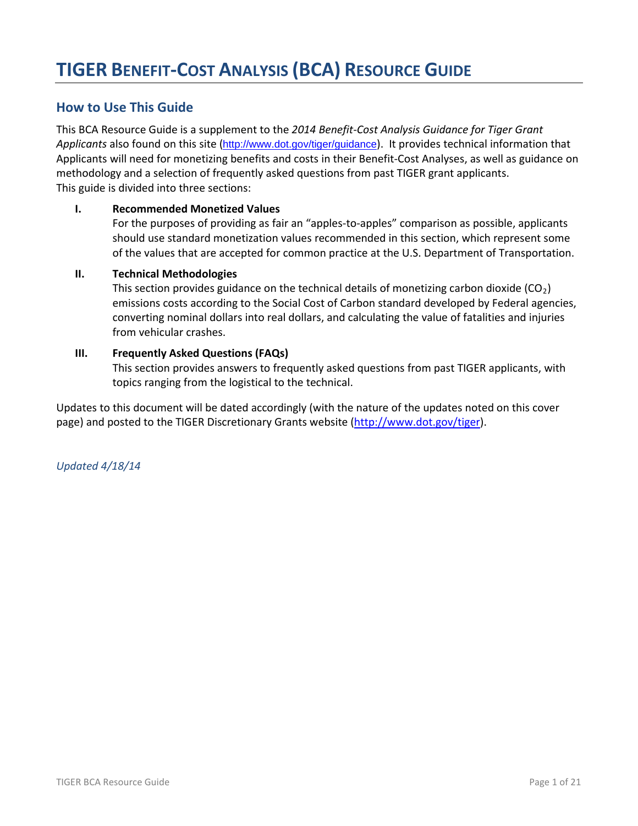# **How to Use This Guide**

This BCA Resource Guide is a supplement to the *2014 Benefit-Cost Analysis Guidance for Tiger Grant Applicants* also found on this site (<http://www.dot.gov/tiger/guidance>). It provides technical information that Applicants will need for monetizing benefits and costs in their Benefit-Cost Analyses, as well as guidance on methodology and a selection of frequently asked questions from past TIGER grant applicants. This guide is divided into three sections:

### **I. Recommended Monetized Values**

For the purposes of providing as fair an "apples-to-apples" comparison as possible, applicants should use standard monetization values recommended in this section, which represent some of the values that are accepted for common practice at the U.S. Department of Transportation.

#### **II. Technical Methodologies**

This section provides guidance on the technical details of monetizing carbon dioxide ( $CO<sub>2</sub>$ ) emissions costs according to the Social Cost of Carbon standard developed by Federal agencies, converting nominal dollars into real dollars, and calculating the value of fatalities and injuries from vehicular crashes.

### **III. Frequently Asked Questions (FAQs)**

This section provides answers to frequently asked questions from past TIGER applicants, with topics ranging from the logistical to the technical.

Updates to this document will be dated accordingly (with the nature of the updates noted on this cover page) and posted to the TIGER Discretionary Grants website [\(http://www.dot.gov/tiger\)](http://www.dot.gov/tiger).

*Updated 4/18/14*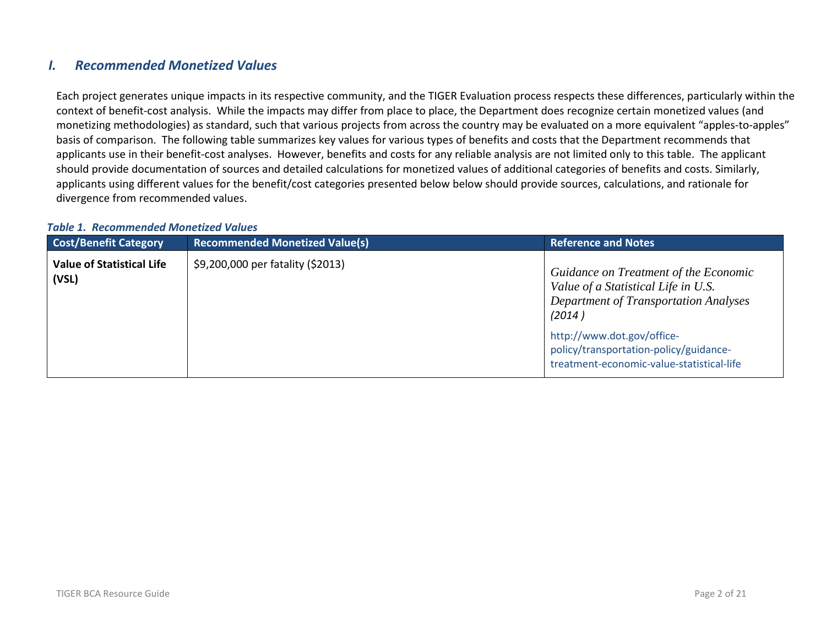# *I. Recommended Monetized Values*

Each project generates unique impacts in its respective community, and the TIGER Evaluation process respects these differences, particularly within the context of benefit-cost analysis. While the impacts may differ from place to place, the Department does recognize certain monetized values (and monetizing methodologies) as standard, such that various projects from across the country may be evaluated on a more equivalent "apples-to-apples" basis of comparison. The following table summarizes key values for various types of benefits and costs that the Department recommends that applicants use in their benefit-cost analyses. However, benefits and costs for any reliable analysis are not limited only to this table. The applicant should provide documentation of sources and detailed calculations for monetized values of additional categories of benefits and costs. Similarly, applicants using different values for the benefit/cost categories presented below below should provide sources, calculations, and rationale for divergence from recommended values.

#### *Table 1. Recommended Monetized Values*

| <b>Cost/Benefit Category</b>              | <b>Recommended Monetized Value(s)</b> | <b>Reference and Notes</b>                                                                                                             |
|-------------------------------------------|---------------------------------------|----------------------------------------------------------------------------------------------------------------------------------------|
| <b>Value of Statistical Life</b><br>(VSL) | \$9,200,000 per fatality (\$2013)     | Guidance on Treatment of the Economic<br>Value of a Statistical Life in U.S.<br><b>Department of Transportation Analyses</b><br>(2014) |
|                                           |                                       | http://www.dot.gov/office-<br>policy/transportation-policy/guidance-<br>treatment-economic-value-statistical-life                      |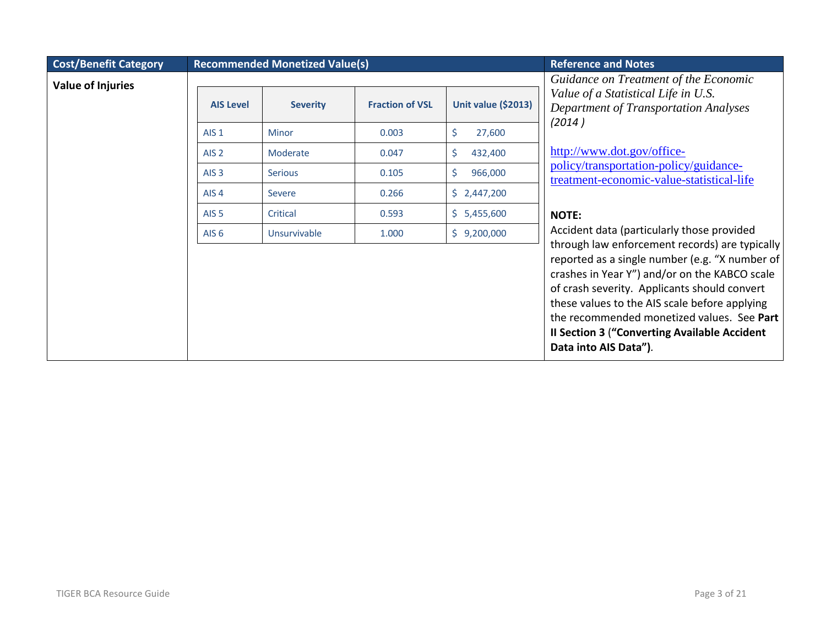| <b>Cost/Benefit Category</b> | <b>Recommended Monetized Value(s)</b> |                 |                        |                            | <b>Reference and Notes</b>                                                                                                                                                                                                                                                                                                                                                        |
|------------------------------|---------------------------------------|-----------------|------------------------|----------------------------|-----------------------------------------------------------------------------------------------------------------------------------------------------------------------------------------------------------------------------------------------------------------------------------------------------------------------------------------------------------------------------------|
| <b>Value of Injuries</b>     |                                       |                 |                        |                            | Guidance on Treatment of the Economic                                                                                                                                                                                                                                                                                                                                             |
|                              | <b>AIS Level</b>                      | <b>Severity</b> | <b>Fraction of VSL</b> | <b>Unit value (\$2013)</b> | Value of a Statistical Life in U.S.<br><b>Department of Transportation Analyses</b><br>(2014)                                                                                                                                                                                                                                                                                     |
|                              | AIS <sub>1</sub>                      | Minor           | 0.003                  | \$<br>27,600               |                                                                                                                                                                                                                                                                                                                                                                                   |
|                              | AIS <sub>2</sub>                      | Moderate        | 0.047                  | \$<br>432,400              | http://www.dot.gov/office-                                                                                                                                                                                                                                                                                                                                                        |
|                              | AIS <sub>3</sub>                      | <b>Serious</b>  | 0.105                  | \$<br>966,000              | policy/transportation-policy/guidance-<br>treatment-economic-value-statistical-life                                                                                                                                                                                                                                                                                               |
|                              | AIS <sub>4</sub>                      | Severe          | 0.266                  | \$2,447,200                |                                                                                                                                                                                                                                                                                                                                                                                   |
|                              | AIS <sub>5</sub>                      | Critical        | 0.593                  | \$5,455,600                | <b>NOTE:</b>                                                                                                                                                                                                                                                                                                                                                                      |
|                              | AIS <sub>6</sub>                      | Unsurvivable    | 1.000                  | \$9,200,000                | Accident data (particularly those provided                                                                                                                                                                                                                                                                                                                                        |
|                              |                                       |                 |                        |                            | through law enforcement records) are typically<br>reported as a single number (e.g. "X number of<br>crashes in Year Y") and/or on the KABCO scale<br>of crash severity. Applicants should convert<br>these values to the AIS scale before applying<br>the recommended monetized values. See Part<br><b>Il Section 3 ("Converting Available Accident"</b><br>Data into AIS Data"). |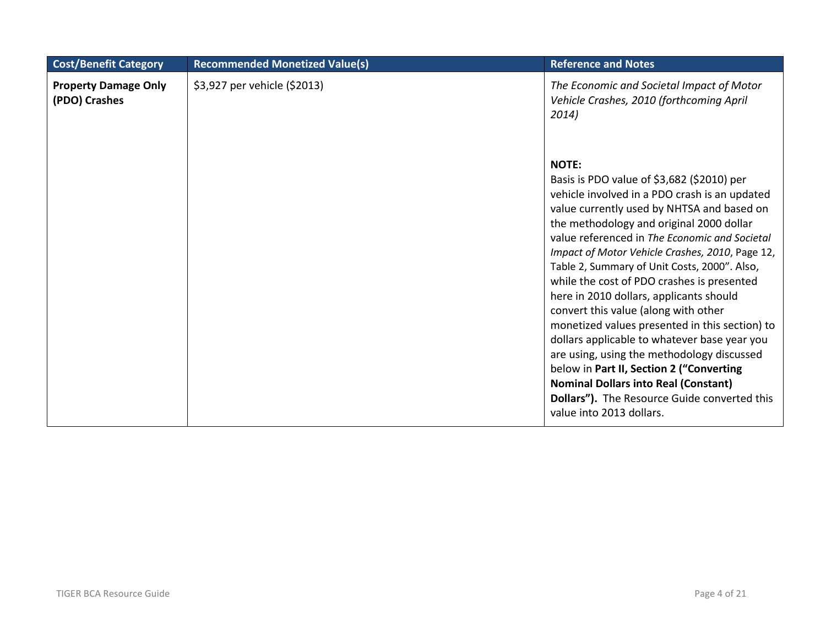| <b>Cost/Benefit Category</b>                 | <b>Recommended Monetized Value(s)</b> | <b>Reference and Notes</b>                                                                                                                                                                                                                                                                                                                                                                                                                                                                                                                                                                                                                                                                                                                                                                                        |
|----------------------------------------------|---------------------------------------|-------------------------------------------------------------------------------------------------------------------------------------------------------------------------------------------------------------------------------------------------------------------------------------------------------------------------------------------------------------------------------------------------------------------------------------------------------------------------------------------------------------------------------------------------------------------------------------------------------------------------------------------------------------------------------------------------------------------------------------------------------------------------------------------------------------------|
| <b>Property Damage Only</b><br>(PDO) Crashes | \$3,927 per vehicle (\$2013)          | The Economic and Societal Impact of Motor<br>Vehicle Crashes, 2010 (forthcoming April<br>2014)                                                                                                                                                                                                                                                                                                                                                                                                                                                                                                                                                                                                                                                                                                                    |
|                                              |                                       | <b>NOTE:</b><br>Basis is PDO value of \$3,682 (\$2010) per<br>vehicle involved in a PDO crash is an updated<br>value currently used by NHTSA and based on<br>the methodology and original 2000 dollar<br>value referenced in The Economic and Societal<br>Impact of Motor Vehicle Crashes, 2010, Page 12,<br>Table 2, Summary of Unit Costs, 2000". Also,<br>while the cost of PDO crashes is presented<br>here in 2010 dollars, applicants should<br>convert this value (along with other<br>monetized values presented in this section) to<br>dollars applicable to whatever base year you<br>are using, using the methodology discussed<br>below in Part II, Section 2 ("Converting<br><b>Nominal Dollars into Real (Constant)</b><br>Dollars"). The Resource Guide converted this<br>value into 2013 dollars. |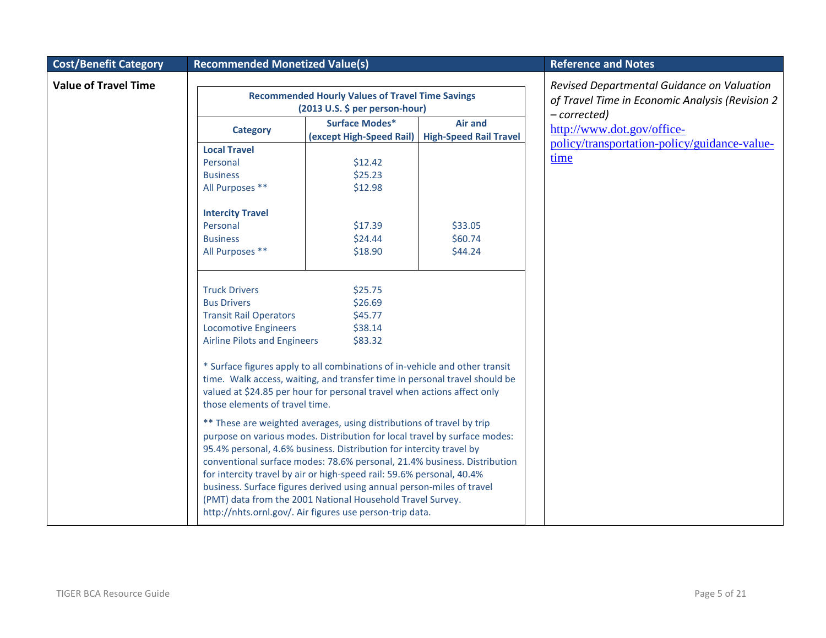| <b>Cost/Benefit Category</b> | <b>Recommended Monetized Value(s)</b>                                                                                                             |                                                                                                                                                                                                                                                                                                                                                                                                                                                                                                                                                                                   | <b>Reference and Notes</b>                      |                                                                                               |
|------------------------------|---------------------------------------------------------------------------------------------------------------------------------------------------|-----------------------------------------------------------------------------------------------------------------------------------------------------------------------------------------------------------------------------------------------------------------------------------------------------------------------------------------------------------------------------------------------------------------------------------------------------------------------------------------------------------------------------------------------------------------------------------|-------------------------------------------------|-----------------------------------------------------------------------------------------------|
| <b>Value of Travel Time</b>  |                                                                                                                                                   | <b>Recommended Hourly Values of Travel Time Savings</b><br>(2013 U.S. \$ per person-hour)                                                                                                                                                                                                                                                                                                                                                                                                                                                                                         |                                                 | Revised Departmental Guidance on Valuation<br>of Travel Time in Economic Analysis (Revision 2 |
|                              | <b>Category</b>                                                                                                                                   | <b>Surface Modes*</b><br>(except High-Speed Rail)                                                                                                                                                                                                                                                                                                                                                                                                                                                                                                                                 | <b>Air and</b><br><b>High-Speed Rail Travel</b> | - corrected)<br>http://www.dot.gov/office-<br>policy/transportation-policy/guidance-value-    |
|                              | <b>Local Travel</b><br>Personal<br><b>Business</b><br>All Purposes **                                                                             | \$12.42<br>\$25.23<br>\$12.98                                                                                                                                                                                                                                                                                                                                                                                                                                                                                                                                                     |                                                 | time                                                                                          |
|                              | <b>Intercity Travel</b><br>Personal<br><b>Business</b><br>All Purposes **                                                                         | \$17.39<br>\$24.44<br>\$18.90                                                                                                                                                                                                                                                                                                                                                                                                                                                                                                                                                     | \$33.05<br>\$60.74<br>\$44.24                   |                                                                                               |
|                              | <b>Truck Drivers</b><br><b>Bus Drivers</b><br><b>Transit Rail Operators</b><br><b>Locomotive Engineers</b><br><b>Airline Pilots and Engineers</b> | \$25.75<br>\$26.69<br>\$45.77<br>\$38.14<br>\$83.32<br>* Surface figures apply to all combinations of in-vehicle and other transit<br>time. Walk access, waiting, and transfer time in personal travel should be<br>valued at \$24.85 per hour for personal travel when actions affect only                                                                                                                                                                                                                                                                                       |                                                 |                                                                                               |
|                              | those elements of travel time.                                                                                                                    | ** These are weighted averages, using distributions of travel by trip<br>purpose on various modes. Distribution for local travel by surface modes:<br>95.4% personal, 4.6% business. Distribution for intercity travel by<br>conventional surface modes: 78.6% personal, 21.4% business. Distribution<br>for intercity travel by air or high-speed rail: 59.6% personal, 40.4%<br>business. Surface figures derived using annual person-miles of travel<br>(PMT) data from the 2001 National Household Travel Survey.<br>http://nhts.ornl.gov/. Air figures use person-trip data. |                                                 |                                                                                               |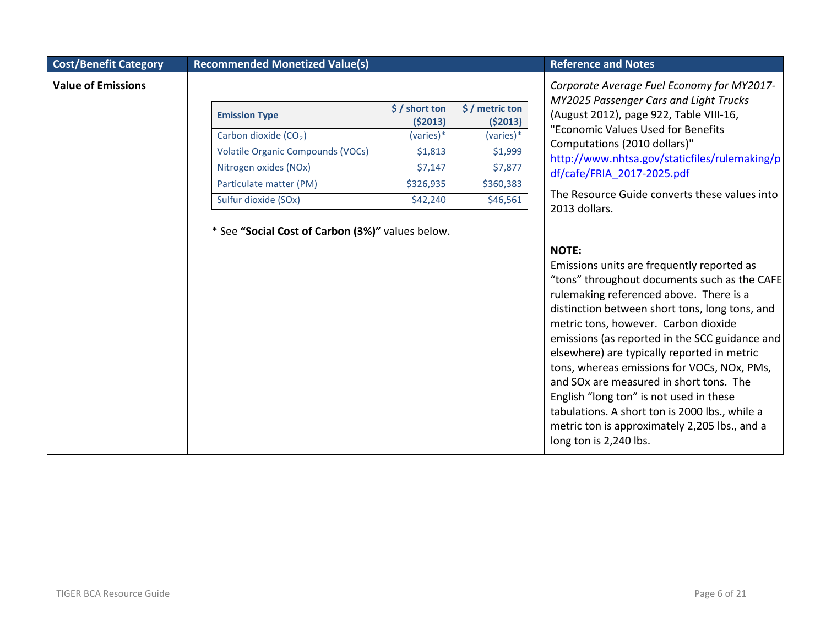#### **Cost/Benefit Category Recommended Monetized Value(s) Reference and Notes Reference and Notes**

#### **Value of Emissions**

| <b>Emission Type</b>                     | $\frac{1}{2}$ / short ton<br>( \$2013) | $$/$ metric ton<br>(52013) |
|------------------------------------------|----------------------------------------|----------------------------|
| Carbon dioxide (CO <sub>2</sub> )        | $(varies)*$                            | (varies)*                  |
| <b>Volatile Organic Compounds (VOCs)</b> | \$1,813                                | \$1,999                    |
| Nitrogen oxides (NOx)                    | \$7,147                                | \$7,877                    |
| Particulate matter (PM)                  | \$326,935                              | \$360,383                  |
| Sulfur dioxide (SOx)                     | \$42,240                               | \$46,561                   |

\* See **"Social Cost of Carbon (3%)"** values below.

*Corporate Average Fuel Economy for MY2017- MY2025 Passenger Cars and Light Trucks*  (August 2012), page 922, Table VIII-16, "Economic Values Used for Benefits Computations (2010 dollars)" [http://www.nhtsa.gov/staticfiles/rulemaking/p](http://www.nhtsa.gov/staticfiles/rulemaking/pdf/cafe/FRIA_2017-2025.pdf) [df/cafe/FRIA\\_2017-2025.pdf](http://www.nhtsa.gov/staticfiles/rulemaking/pdf/cafe/FRIA_2017-2025.pdf)

The Resource Guide converts these values into 2013 dollars.

#### **NOTE:**

Emissions units are frequently reported as "tons" throughout documents such as the CAFE rulemaking referenced above. There is a distinction between short tons, long tons, and metric tons, however. Carbon dioxide emissions (as reported in the SCC guidance and elsewhere) are typically reported in metric tons, whereas emissions for VOCs, NOx, PMs, and SOx are measured in short tons. The English "long ton" is not used in these tabulations. A short ton is 2000 lbs., while a metric ton is approximately 2,205 lbs., and a long ton is 2,240 lbs.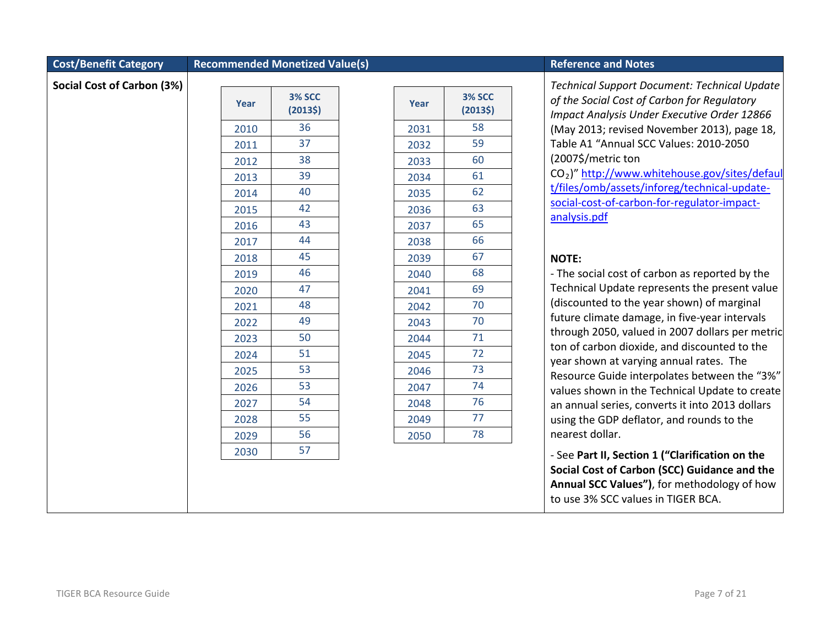#### **Cost/Benefit Category Recommended Monetized Value(s) Reference and Notes Reference and Notes**

**Social Cost of Carbon (3%)**

| Year | <b>3% SCC</b><br>(2013\$) |
|------|---------------------------|
| 2010 | 36                        |
| 2011 | 37                        |
| 2012 | 38                        |
| 2013 | 39                        |
| 2014 | 40                        |
| 2015 | 42                        |
| 2016 | 43                        |
| 2017 | 44                        |
| 2018 | 45                        |
| 2019 | 46                        |
| 2020 | 47                        |
| 2021 | 48                        |
| 2022 | 49                        |
| 2023 | 50                        |
| 2024 | 51                        |
| 2025 | 53                        |
| 2026 | 53                        |
| 2027 | 54                        |
| 2028 | 55                        |
| 2029 | 56                        |
| 2030 | 57                        |

| Year | <b>3% SCC</b><br>(20135) |
|------|--------------------------|
| 2031 | 58                       |
| 2032 | 59                       |
| 2033 | 60                       |
| 2034 | 61                       |
| 2035 | 62                       |
| 2036 | 63                       |
| 2037 | 65                       |
| 2038 | 66                       |
| 2039 | 67                       |
| 2040 | 68                       |
| 2041 | 69                       |
| 2042 | 70                       |
| 2043 | 70                       |
| 2044 | 71                       |
| 2045 | 72                       |
| 2046 | 73                       |
| 2047 | 74                       |
| 2048 | 76                       |
| 2049 | 77                       |
| 2050 | 78                       |

*Technical Support Document: Technical Update of the Social Cost of Carbon for Regulatory Impact Analysis Under Executive Order 12866*  (May 2013; revised November 2013), page 18, Table A1 "Annual SCC Values: 2010-2050 (2007\$/metric ton CO2)" [http://www.whitehouse.gov/sites/defaul](http://www.whitehouse.gov/sites/default/files/omb/assets/inforeg/technical-update-social-cost-of-carbon-for-regulator-impact-analysis.pdf) [t/files/omb/assets/inforeg/technical-update](http://www.whitehouse.gov/sites/default/files/omb/assets/inforeg/technical-update-social-cost-of-carbon-for-regulator-impact-analysis.pdf)[social-cost-of-carbon-for-regulator-impact-](http://www.whitehouse.gov/sites/default/files/omb/assets/inforeg/technical-update-social-cost-of-carbon-for-regulator-impact-analysis.pdf)

[analysis.pdf](http://www.whitehouse.gov/sites/default/files/omb/assets/inforeg/technical-update-social-cost-of-carbon-for-regulator-impact-analysis.pdf)

#### **NOTE:**

- The social cost of carbon as reported by the Technical Update represents the present value (discounted to the year shown) of marginal future climate damage, in five-year intervals through 2050, valued in 2007 dollars per metric ton of carbon dioxide, and discounted to the year shown at varying annual rates. The Resource Guide interpolates between the "3%" values shown in the Technical Update to create an annual series, converts it into 2013 dollars using the GDP deflator, and rounds to the nearest dollar.

- See **Part II, Section 1 ("Clarification on the Social Cost of Carbon (SCC) Guidance and the Annual SCC Values")**, for methodology of how to use 3% SCC values in TIGER BCA.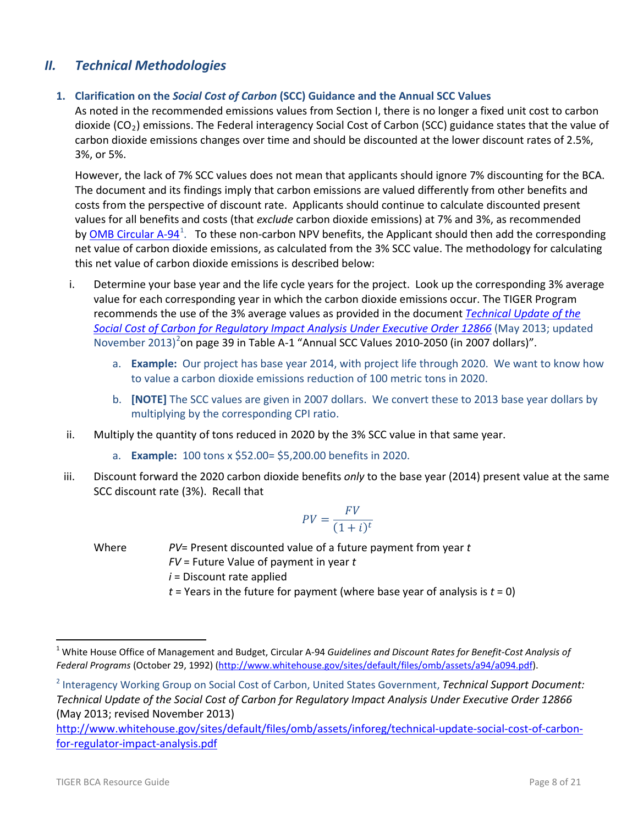# *II. Technical Methodologies*

## **1. Clarification on the** *Social Cost of Carbon* **(SCC) Guidance and the Annual SCC Values**

As noted in the recommended emissions values from Section I, there is no longer a fixed unit cost to carbon dioxide (CO<sub>2</sub>) emissions. The Federal interagency Social Cost of Carbon (SCC) guidance states that the value of carbon dioxide emissions changes over time and should be discounted at the lower discount rates of 2.5%, 3%, or 5%.

However, the lack of 7% SCC values does not mean that applicants should ignore 7% discounting for the BCA. The document and its findings imply that carbon emissions are valued differently from other benefits and costs from the perspective of discount rate. Applicants should continue to calculate discounted present values for all benefits and costs (that *exclude* carbon dioxide emissions) at 7% and 3%, as recommended by [OMB Circular A-94](http://www.whitehouse.gov/sites/default/files/omb/assets/a94/a094.pdf)<sup>[1](#page-7-0)</sup>. To these non-carbon NPV benefits, the Applicant should then add the corresponding net value of carbon dioxide emissions, as calculated from the 3% SCC value. The methodology for calculating this net value of carbon dioxide emissions is described below:

- i. Determine your base year and the life cycle years for the project. Look up the corresponding 3% average value for each corresponding year in which the carbon dioxide emissions occur. The TIGER Program recommends the use of the 3% average values as provided in the document *[Technical Update of the](http://www.whitehouse.gov/sites/default/files/omb/assets/inforeg/technical-update-social-cost-of-carbon-for-regulator-impact-analysis.pdf)  [Social Cost of Carbon for Regulatory Impact](http://www.whitehouse.gov/sites/default/files/omb/assets/inforeg/technical-update-social-cost-of-carbon-for-regulator-impact-analysis.pdf) Analysis Under Executive Order 12866* (May 2013; updated November [2](#page-7-1)013)<sup>2</sup>on page 39 in Table A-1 "Annual SCC Values 2010-2050 (in 2007 dollars)".
	- a. **Example:** Our project has base year 2014, with project life through 2020. We want to know how to value a carbon dioxide emissions reduction of 100 metric tons in 2020.
	- b. **[NOTE]** The SCC values are given in 2007 dollars. We convert these to 2013 base year dollars by multiplying by the corresponding CPI ratio.
- ii. Multiply the quantity of tons reduced in 2020 by the 3% SCC value in that same year.
	- a. **Example:** 100 tons x \$52.00= \$5,200.00 benefits in 2020.
- iii. Discount forward the 2020 carbon dioxide benefits *only* to the base year (2014) present value at the same SCC discount rate (3%). Recall that

$$
PV = \frac{FV}{(1+i)^t}
$$

Where *PV*= Present discounted value of a future payment from year *t FV* = Future Value of payment in year *t i* = Discount rate applied *t* = Years in the future for payment (where base year of analysis is *t* = 0)

<span id="page-7-0"></span> <sup>1</sup> White House Office of Management and Budget, Circular A-94 *Guidelines and Discount Rates for Benefit-Cost Analysis of Federal Programs* (October 29, 1992) [\(http://www.whitehouse.gov/sites/default/files/omb/assets/a94/a094.pdf\)](http://www.whitehouse.gov/sites/default/files/omb/assets/a94/a094.pdf).

<span id="page-7-1"></span><sup>2</sup> Interagency Working Group on Social Cost of Carbon, United States Government, *Technical Support Document: Technical Update of the Social Cost of Carbon for Regulatory Impact Analysis Under Executive Order 12866*  (May 2013; revised November 2013)

[http://www.whitehouse.gov/sites/default/files/omb/assets/inforeg/technical-update-social-cost-of-carbon](http://www.whitehouse.gov/sites/default/files/omb/assets/inforeg/technical-update-social-cost-of-carbon-for-regulator-impact-analysis.pdf)[for-regulator-impact-analysis.pdf](http://www.whitehouse.gov/sites/default/files/omb/assets/inforeg/technical-update-social-cost-of-carbon-for-regulator-impact-analysis.pdf)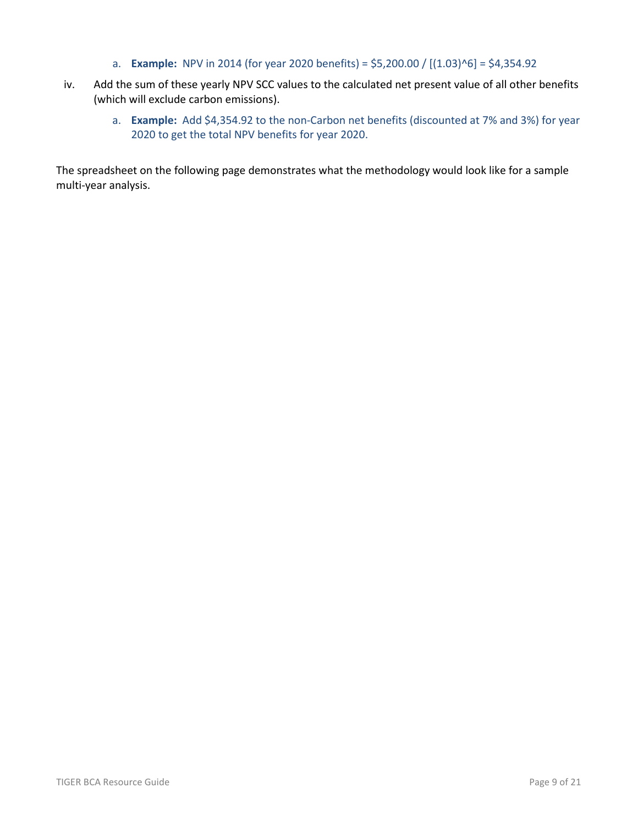- a. **Example:** NPV in 2014 (for year 2020 benefits) =  $$5,200.00 / [(1.03)^6] = $4,354.92$
- iv. Add the sum of these yearly NPV SCC values to the calculated net present value of all other benefits (which will exclude carbon emissions).
	- a. **Example:** Add \$4,354.92 to the non-Carbon net benefits (discounted at 7% and 3%) for year 2020 to get the total NPV benefits for year 2020.

The spreadsheet on the following page demonstrates what the methodology would look like for a sample multi-year analysis.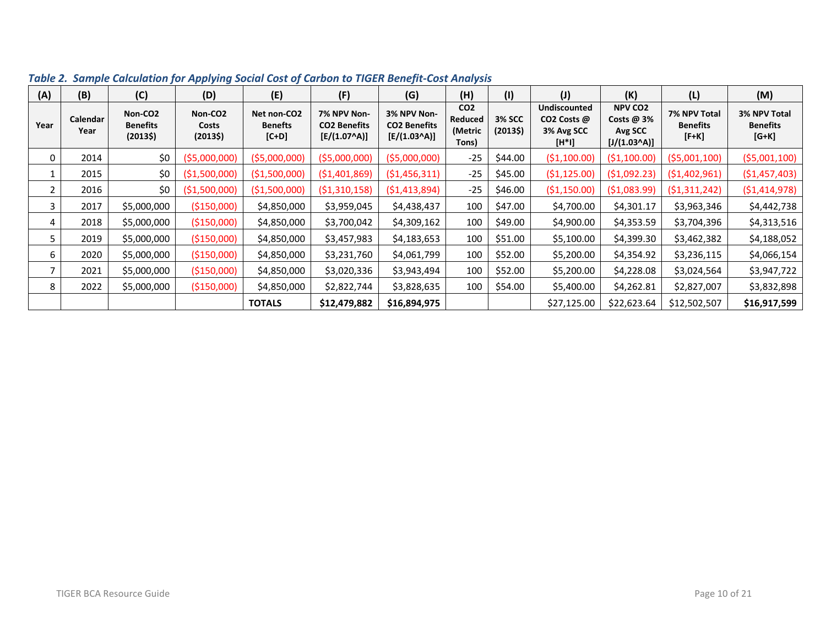| (A)         | (B)              | (C)                                               | (D)                                     | (E)                                                                    | (F)                                                  | (G)                                                  | (H)                                            | (1)                      | $(\mathsf{U})$                                               | (K)                                                               | (L)                                        | (M)                                        |
|-------------|------------------|---------------------------------------------------|-----------------------------------------|------------------------------------------------------------------------|------------------------------------------------------|------------------------------------------------------|------------------------------------------------|--------------------------|--------------------------------------------------------------|-------------------------------------------------------------------|--------------------------------------------|--------------------------------------------|
| Year        | Calendar<br>Year | Non-CO <sub>2</sub><br><b>Benefits</b><br>(20135) | Non-CO <sub>2</sub><br>Costs<br>(20135) | Net non-CO2<br><b>Benefts</b><br>$[{\mathsf C}{\mathsf +}{\mathsf D}]$ | 7% NPV Non-<br><b>CO2 Benefits</b><br>$[E/(1.07^A)]$ | 3% NPV Non-<br><b>CO2 Benefits</b><br>$[E/(1.03^A)]$ | CO <sub>2</sub><br>Reduced<br>(Metric<br>Tons) | <b>3% SCC</b><br>(20135) | <b>Undiscounted</b><br>CO2 Costs @<br>3% Avg SCC<br>$[H^*1]$ | <b>NPV CO2</b><br>Costs $@3%$<br>Avg SCC<br>$[J/(1.03 \text{A})]$ | 7% NPV Total<br><b>Benefits</b><br>$[F+K]$ | 3% NPV Total<br><b>Benefits</b><br>$[G+K]$ |
| $\mathbf 0$ | 2014             | \$0                                               | ( \$5,000,000)                          | ( \$5,000,000)                                                         | ( \$5,000,000)                                       | ( \$5,000,000)                                       | $-25$                                          | \$44.00                  | ( \$1,100.00)                                                | ( \$1,100.00)                                                     | (55,001,100)                               | (55,001,100)                               |
|             | 2015             | \$0                                               | ( \$1,500,000)                          | ( \$1,500,000)                                                         | ( \$1,401,869)                                       | (51, 456, 311)                                       | $-25$                                          | \$45.00                  | (51, 125.00)                                                 | (51,092.23)                                                       | (51,402,961)                               | ( \$1,457,403)                             |
| 2           | 2016             | \$0                                               | ( \$1,500,000)                          | (\$1,500,000)                                                          | (51,310,158)                                         | (51, 413, 894)                                       | $-25$                                          | \$46.00                  | (\$1,150.00)                                                 | ( \$1,083.99)                                                     | (51,311,242)                               | (51, 414, 978)                             |
| 3           | 2017             | \$5,000,000                                       | (\$150,000)                             | \$4,850,000                                                            | \$3,959,045                                          | \$4,438,437                                          | 100                                            | \$47.00                  | \$4,700.00                                                   | \$4,301.17                                                        | \$3,963,346                                | \$4,442,738                                |
| 4           | 2018             | \$5,000,000                                       | (\$150,000)                             | \$4,850,000                                                            | \$3,700,042                                          | \$4,309,162                                          | 100                                            | \$49.00                  | \$4,900.00                                                   | \$4,353.59                                                        | \$3,704,396                                | \$4,313,516                                |
| 5           | 2019             | \$5,000,000                                       | (\$150,000)                             | \$4,850,000                                                            | \$3,457,983                                          | \$4,183,653                                          | 100                                            | \$51.00                  | \$5,100.00                                                   | \$4,399.30                                                        | \$3,462,382                                | \$4,188,052                                |
| 6           | 2020             | \$5,000,000                                       | (\$150,000)                             | \$4,850,000                                                            | \$3,231,760                                          | \$4,061,799                                          | 100                                            | \$52.00                  | \$5,200.00                                                   | \$4,354.92                                                        | \$3,236,115                                | \$4,066,154                                |
|             | 2021             | \$5,000,000                                       | (\$150,000)                             | \$4,850,000                                                            | \$3,020,336                                          | \$3,943,494                                          | 100                                            | \$52.00                  | \$5,200.00                                                   | \$4,228.08                                                        | \$3,024,564                                | \$3,947,722                                |
| 8           | 2022             | \$5,000,000                                       | (\$150,000)                             | \$4,850,000                                                            | \$2,822,744                                          | \$3,828,635                                          | 100                                            | \$54.00                  | \$5,400.00                                                   | \$4,262.81                                                        | \$2,827,007                                | \$3,832,898                                |
|             |                  |                                                   |                                         | <b>TOTALS</b>                                                          | \$12,479,882                                         | \$16,894,975                                         |                                                |                          | \$27,125.00                                                  | \$22,623.64                                                       | \$12,502,507                               | \$16,917,599                               |

*Table 2. Sample Calculation for Applying Social Cost of Carbon to TIGER Benefit-Cost Analysis*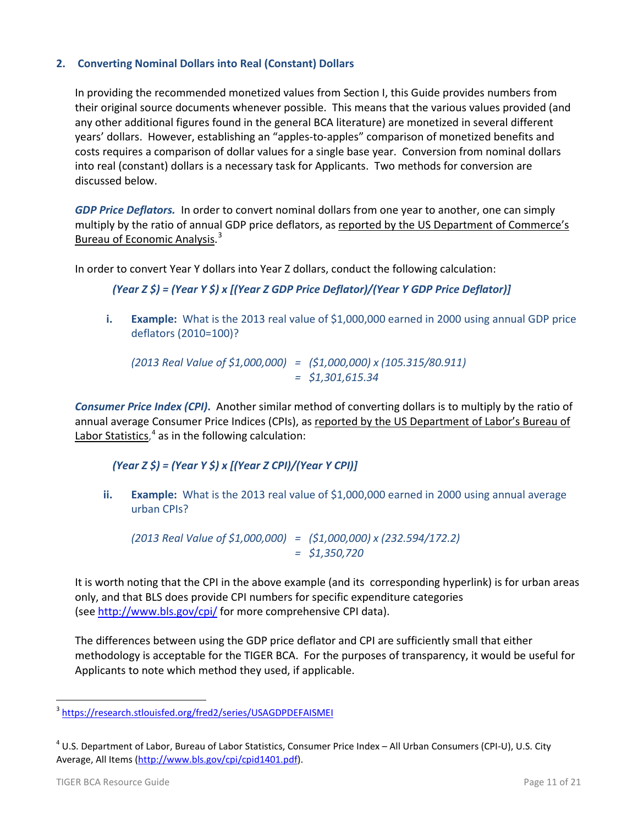## **2. Converting Nominal Dollars into Real (Constant) Dollars**

In providing the recommended monetized values from Section I, this Guide provides numbers from their original source documents whenever possible. This means that the various values provided (and any other additional figures found in the general BCA literature) are monetized in several different years' dollars. However, establishing an "apples-to-apples" comparison of monetized benefits and costs requires a comparison of dollar values for a single base year. Conversion from nominal dollars into real (constant) dollars is a necessary task for Applicants. Two methods for conversion are discussed below.

*GDP Price Deflators.* In order to convert nominal dollars from one year to another, one can simply multiply by the ratio of annual GDP price deflators, as [reported by the US Department of Commerce's](http://www.bea.gov/national/nipaweb/TableView.asp?SelectedTable=13&Freq=Qtr&FirstYear=2009&LastYear=2011)  [Bureau of Economic Analysis.](http://www.bea.gov/national/nipaweb/TableView.asp?SelectedTable=13&Freq=Qtr&FirstYear=2009&LastYear=2011)<sup>[3](#page-10-0)</sup>

In order to convert Year Y dollars into Year Z dollars, conduct the following calculation:

### *(Year Z \$) = (Year Y \$) x [(Year Z GDP Price Deflator)/(Year Y GDP Price Deflator)]*

**i. Example:** What is the 2013 real value of \$1,000,000 earned in 2000 using annual GDP price deflators (2010=100)?

*(2013 Real Value of \$1,000,000) = (\$1,000,000) x (105.315/80.911) = \$1,301,615.34*

*Consumer Price Index (CPI)***.** Another similar method of converting dollars is to multiply by the ratio of annual average Consumer Price Indices (CPIs), as [reported by the US Department of Labor's Bureau of](ftp://ftp.bls.gov/pub/special.requests/cpi/cpiai.txt)  [Labor Statistics,](ftp://ftp.bls.gov/pub/special.requests/cpi/cpiai.txt)<sup>[4](#page-10-1)</sup> as in the following calculation:

## *(Year Z \$) = (Year Y \$) x [(Year Z CPI)/(Year Y CPI)]*

**ii. Example:** What is the 2013 real value of \$1,000,000 earned in 2000 using annual average urban CPIs?

*(2013 Real Value of \$1,000,000) = (\$1,000,000) x (232.594/172.2) = \$1,350,720*

It is worth noting that the CPI in the above example (and its corresponding hyperlink) is for urban areas only, and that BLS does provide CPI numbers for specific expenditure categories (see<http://www.bls.gov/cpi/> for more comprehensive CPI data).

The differences between using the GDP price deflator and CPI are sufficiently small that either methodology is acceptable for the TIGER BCA. For the purposes of transparency, it would be useful for Applicants to note which method they used, if applicable.

<span id="page-10-0"></span> <sup>3</sup> <https://research.stlouisfed.org/fred2/series/USAGDPDEFAISMEI>

<span id="page-10-1"></span> $4$  U.S. Department of Labor, Bureau of Labor Statistics, Consumer Price Index – All Urban Consumers (CPI-U), U.S. City Average, All Items [\(http://www.bls.gov/cpi/cpid1401.pdf\)](http://www.bls.gov/cpi/cpid1401.pdf).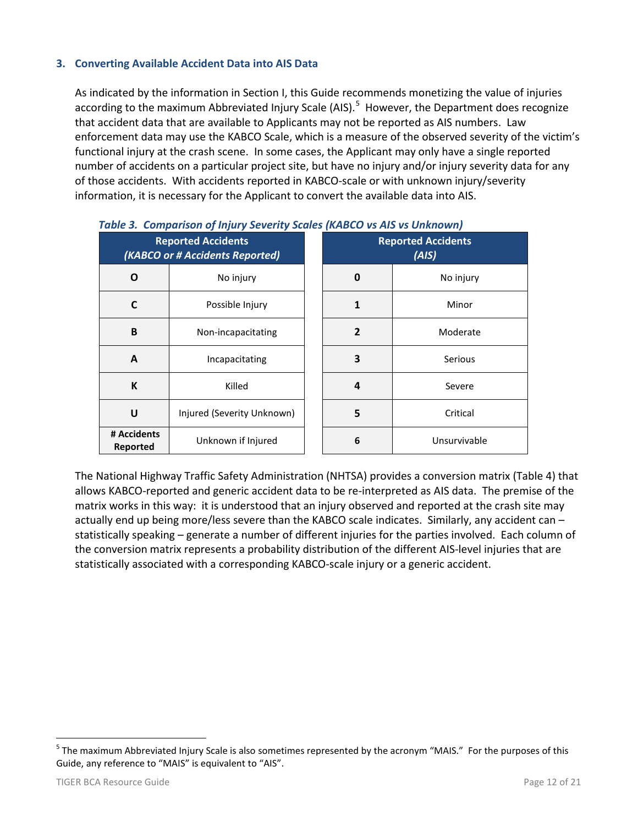## **3. Converting Available Accident Data into AIS Data**

As indicated by the information in Section I, this Guide recommends monetizing the value of injuries according to the maximum Abbreviated Injury Scale (AIS).<sup>[5](#page-11-0)</sup> However, the Department does recognize that accident data that are available to Applicants may not be reported as AIS numbers. Law enforcement data may use the KABCO Scale, which is a measure of the observed severity of the victim's functional injury at the crash scene. In some cases, the Applicant may only have a single reported number of accidents on a particular project site, but have no injury and/or injury severity data for any of those accidents. With accidents reported in KABCO-scale or with unknown injury/severity information, it is necessary for the Applicant to convert the available data into AIS.

| <b>Reported Accidents</b><br>(KABCO or # Accidents Reported) |                            |  | <b>Reported Accidents</b><br>(AIS) |              |  |
|--------------------------------------------------------------|----------------------------|--|------------------------------------|--------------|--|
| Ο                                                            | No injury                  |  | 0                                  | No injury    |  |
| C                                                            | Possible Injury            |  | $\mathbf{1}$                       | Minor        |  |
| B                                                            | Non-incapacitating         |  | $\overline{2}$                     | Moderate     |  |
| A                                                            | Incapacitating             |  | 3                                  | Serious      |  |
| K                                                            | Killed                     |  | $\overline{a}$                     | Severe       |  |
| U                                                            | Injured (Severity Unknown) |  | 5                                  | Critical     |  |
| # Accidents<br>Reported                                      | Unknown if Injured         |  | 6                                  | Unsurvivable |  |

|  |  | Table 3. Comparison of Injury Severity Scales (KABCO vs AIS vs Unknown) |
|--|--|-------------------------------------------------------------------------|
|  |  |                                                                         |

The National Highway Traffic Safety Administration (NHTSA) provides a conversion matrix (Table 4) that allows KABCO-reported and generic accident data to be re-interpreted as AIS data. The premise of the matrix works in this way: it is understood that an injury observed and reported at the crash site may actually end up being more/less severe than the KABCO scale indicates. Similarly, any accident can – statistically speaking – generate a number of different injuries for the parties involved. Each column of the conversion matrix represents a probability distribution of the different AIS-level injuries that are statistically associated with a corresponding KABCO-scale injury or a generic accident.

<span id="page-11-0"></span><sup>&</sup>lt;sup>5</sup> The maximum Abbreviated Injury Scale is also sometimes represented by the acronym "MAIS." For the purposes of this Guide, any reference to "MAIS" is equivalent to "AIS".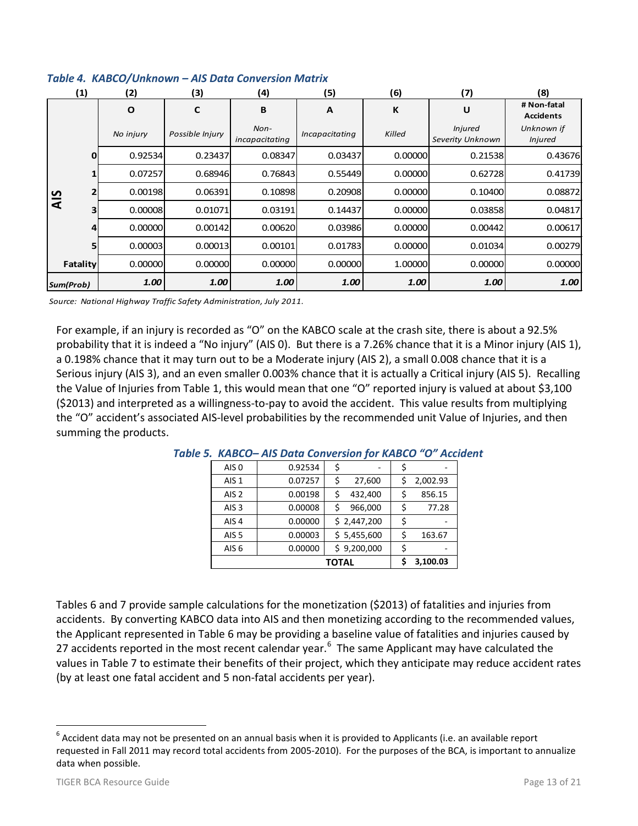|           | (1)<br>(2)<br>(3) |           |                                                                    | (4)                      | (5)            | (6)     | (7)                                | (8)                             |
|-----------|-------------------|-----------|--------------------------------------------------------------------|--------------------------|----------------|---------|------------------------------------|---------------------------------|
|           |                   | $\Omega$  | C                                                                  | B                        | A              | К       | U                                  | # Non-fatal<br><b>Accidents</b> |
| AIS       |                   | No injury | Possible Injury                                                    | $Non-$<br>incapacitating | Incapacitating | Killed  | <b>Injured</b><br>Severity Unknown | Unknown if<br><b>Injured</b>    |
|           | 0                 | 0.92534   | 0.23437                                                            | 0.08347                  | 0.03437        | 0.00000 | 0.21538                            | 0.43676                         |
|           |                   | 0.07257   | 0.68946                                                            | 0.76843                  | 0.55449        | 0.00000 | 0.62728                            | 0.41739                         |
|           |                   | 0.00198   | 0.06391                                                            | 0.10898                  | 0.20908        | 0.00000 | 0.10400                            | 0.08872                         |
|           | 3                 | 0.00008   | 0.01071                                                            | 0.03191                  | 0.14437        | 0.00000 | 0.03858                            | 0.04817                         |
|           | 4                 | 0.00000   | 0.00142                                                            | 0.00620                  | 0.03986        | 0.00000 | 0.00442                            | 0.00617                         |
|           | 5                 | 0.00003   | 0.00013                                                            | 0.00101                  | 0.01783        | 0.00000 | 0.01034                            | 0.00279                         |
|           | Fatality          | 0.00000   | 0.00000                                                            | 0.00000                  | 0.00000        | 1.00000 | 0.00000                            | 0.00000                         |
| Sum(Prob) |                   | 1.00      | 1.00                                                               | 1.00                     | 1.00           | 1.00    | 1.00                               | 1.00                            |
|           |                   |           | Source: National Highway Traffic Safety Administration, July 2011. |                          |                |         |                                    |                                 |

## *Table 4. KABCO/Unknown – AIS Data Conversion Matrix*

For example, if an injury is recorded as "O" on the KABCO scale at the crash site, there is about a 92.5% probability that it is indeed a "No injury" (AIS 0). But there is a 7.26% chance that it is a Minor injury (AIS 1), a 0.198% chance that it may turn out to be a Moderate injury (AIS 2), a small 0.008 chance that it is a Serious injury (AIS 3), and an even smaller 0.003% chance that it is actually a Critical injury (AIS 5). Recalling the Value of Injuries from Table 1, this would mean that one "O" reported injury is valued at about \$3,100 (\$2013) and interpreted as a willingness-to-pay to avoid the accident. This value results from multiplying the "O" accident's associated AIS-level probabilities by the recommended unit Value of Injuries, and then summing the products.

| AIS <sub>0</sub> | 0.92534  | Ş  |             |              |
|------------------|----------|----|-------------|--------------|
| AIS <sub>1</sub> | 0.07257  | \$ | 27,600      | 2,002.93     |
| AIS <sub>2</sub> | 0.00198  | \$ | 432,400     | \$<br>856.15 |
| AIS <sub>3</sub> | 0.00008  | \$ | 966,000     | \$<br>77.28  |
| AIS <sub>4</sub> | 0.00000  |    | \$2,447,200 | \$           |
| AIS <sub>5</sub> | 0.00003  |    | \$5,455,600 | \$<br>163.67 |
| AIS <sub>6</sub> | 0.00000  |    | \$9,200,000 | \$           |
|                  | 3,100.03 |    |             |              |

#### *Table 5. KABCO– AIS Data Conversion for KABCO "O" Accident*

Tables 6 and 7 provide sample calculations for the monetization (\$2013) of fatalities and injuries from accidents. By converting KABCO data into AIS and then monetizing according to the recommended values, the Applicant represented in Table 6 may be providing a baseline value of fatalities and injuries caused by 27 accidents reported in the most recent calendar year.<sup>[6](#page-12-0)</sup> The same Applicant may have calculated the values in Table 7 to estimate their benefits of their project, which they anticipate may reduce accident rates (by at least one fatal accident and 5 non-fatal accidents per year).

<span id="page-12-0"></span> $6$  Accident data may not be presented on an annual basis when it is provided to Applicants (i.e. an available report requested in Fall 2011 may record total accidents from 2005-2010). For the purposes of the BCA, is important to annualize data when possible.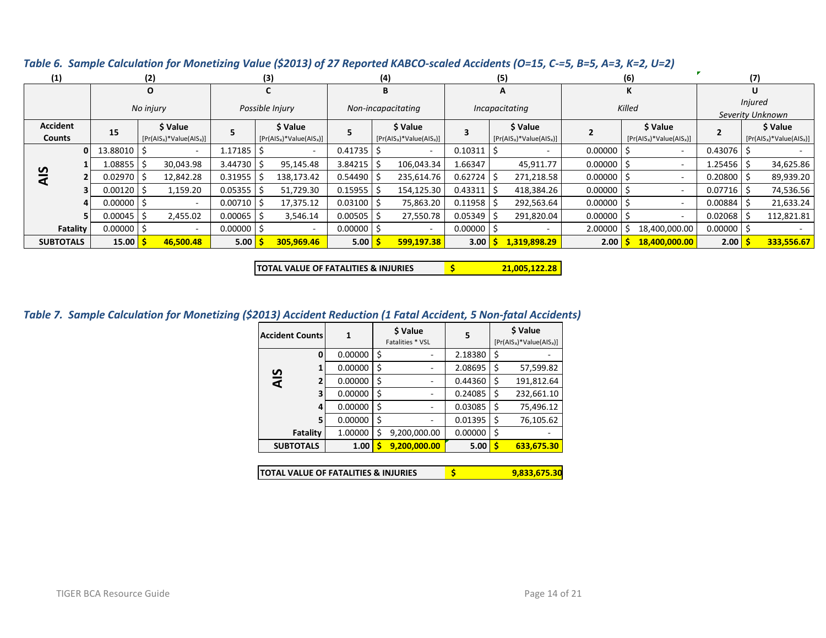| (1)              |          |                | (2)                        |                 | (3)                        |                          | (4)               |                            |                          | (5)         |  |                            | (6)              |  |                            | (7)          |                            |
|------------------|----------|----------------|----------------------------|-----------------|----------------------------|--------------------------|-------------------|----------------------------|--------------------------|-------------|--|----------------------------|------------------|--|----------------------------|--------------|----------------------------|
|                  |          | O              |                            |                 |                            |                          | B                 |                            |                          | А           |  | ĸ                          |                  |  | U                          |              |                            |
|                  |          | No injury      |                            | Possible Injury |                            | Non-incapacitating       |                   | Incapacitating             |                          | Killed      |  |                            | <b>Injured</b>   |  |                            |              |                            |
|                  |          |                |                            |                 |                            |                          |                   |                            |                          |             |  |                            | Severity Unknown |  |                            |              |                            |
| <b>Accident</b>  |          | 15             | \$ Value                   |                 | \$ Value                   |                          |                   | \$ Value                   |                          |             |  | \$ Value                   |                  |  | \$ Value                   |              | \$ Value                   |
| <b>Counts</b>    |          |                | $[Pr(AIS_x)*Value(AIS_x)]$ |                 | $[Pr(ALS_x)*Value(ALS_x)]$ |                          |                   | $[Pr(ALS_x)*Value(ALS_x)]$ |                          |             |  | $[Pr(AIS_x)*Value(AIS_x)]$ |                  |  | $[Pr(ALS_x)*Value(ALS_x)]$ |              | $[Pr(ALS_x)*Value(ALS_x)]$ |
|                  | $\Omega$ | 13.88010       | $\overline{\phantom{a}}$   | 1.17185         |                            |                          | 0.41735           |                            | $\overline{\phantom{a}}$ | 0.10311     |  |                            | 0.00000          |  | $\overline{\phantom{a}}$   | 0.43076      |                            |
|                  |          | 1.08855        | 30,043.98                  | 3.44730         |                            | 95,145.48                | $3.84215$ \$      |                            | 106,043.34               | 1.66347     |  | 45,911.77                  | 0.00000          |  | $\overline{\phantom{a}}$   | 1.25456      | 34,625.86                  |
| <b>AIS</b>       |          | $0.02970$ S    | 12,842.28                  | 0.31955         |                            | 138,173.42               | $0.54490$ \$      |                            | 235,614.76               | $0.62724$ S |  | 271,218.58                 | 0.00000          |  | ۰                          | 0.20800      | 89,939.20                  |
|                  |          | 0.00120        | 1,159.20                   | 0.05355         |                            | 51,729.30                | $0.15955$   \$    |                            | 154,125.30               | 0.43311     |  | 418,384.26                 | 0.00000          |  | ۰                          | 0.07716      | 74,536.56                  |
|                  | 4        | $0.00000$   \$ | $\overline{\phantom{a}}$   | 0.00710         |                            | 17,375.12                | $0.03100$ S       |                            | 75,863.20                | 0.11958     |  | 292,563.64                 | 0.00000          |  | $\overline{\phantom{a}}$   | 0.00884      | 21,633.24                  |
|                  |          | $0.00045$ S    | 2,455.02                   | $0.00065$ \$    |                            | 3,546.14                 | $0.00505$ \$      |                            | 27,550.78                | 0.05349     |  | 291,820.04                 | 0.00000          |  | $\overline{\phantom{a}}$   | 0.02068      | 112,821.81                 |
|                  | Fatality | $0.00000$   \$ | $\overline{\phantom{a}}$   | $0.00000$   \$  |                            | $\overline{\phantom{a}}$ | 0.00000           |                            | $\overline{\phantom{a}}$ | 0.00000     |  |                            | 2.00000          |  | 18,400,000.00              | $0.00000$ \$ |                            |
| <b>SUBTOTALS</b> |          | 15.00          | 46,500.48                  | 5.00            |                            | 305,969.46               | 5.00 <sub>5</sub> |                            | 599,197.38               | 3.00        |  | 1,319,898.29               | 2.00             |  | 18,400,000.00              | 2.00         | 333,556.67                 |

*Table 6. Sample Calculation for Monetizing Value (\$2013) of 27 Reported KABCO-scaled Accidents (O=15, C-=5, B=5, A=3, K=2, U=2)*

**TOTAL VALUE OF FATALITIES & INJURIES \$ 21,005,122.28** 

## *Table 7. Sample Calculation for Monetizing (\$2013) Accident Reduction (1 Fatal Accident, 5 Non-fatal Accidents)*

|     | <b>Accident Counts</b>               | 1       | \$ Value<br>Fatalities * VSL | 5            | \$ Value<br>$[Pr(ALS_x)*Value(ALS_x)]$ |            |  |
|-----|--------------------------------------|---------|------------------------------|--------------|----------------------------------------|------------|--|
|     | 0                                    | 0.00000 | \$                           | 2.18380      | \$                                     |            |  |
|     | 1                                    | 0.00000 | \$                           | 2.08695      | \$                                     | 57,599.82  |  |
| AIS | 2                                    | 0.00000 | \$                           | 0.44360      | \$                                     | 191,812.64 |  |
|     | 3                                    | 0.00000 | \$                           | 0.24085      | \$                                     | 232,661.10 |  |
|     | 4                                    | 0.00000 | \$                           | 0.03085      | \$                                     | 75,496.12  |  |
|     | 5                                    | 0.00000 | \$                           | 0.01395      | \$                                     | 76,105.62  |  |
|     | Fatality                             | 1.00000 | \$<br>9,200,000.00           | 0.00000      | \$                                     |            |  |
|     | <b>SUBTOTALS</b>                     | 1.00    | 9,200,000.00                 | 5.00         | Ŝ                                      | 633,675.30 |  |
|     |                                      |         |                              |              |                                        |            |  |
|     | TOTAL VALUE OF FATALITIES & INJURIES | \$      |                              | 9,833,675.30 |                                        |            |  |

| <b>ITOTAL VALUE OF FATALITIES &amp; INJURIES</b> | 9,833,675.30 |
|--------------------------------------------------|--------------|
|--------------------------------------------------|--------------|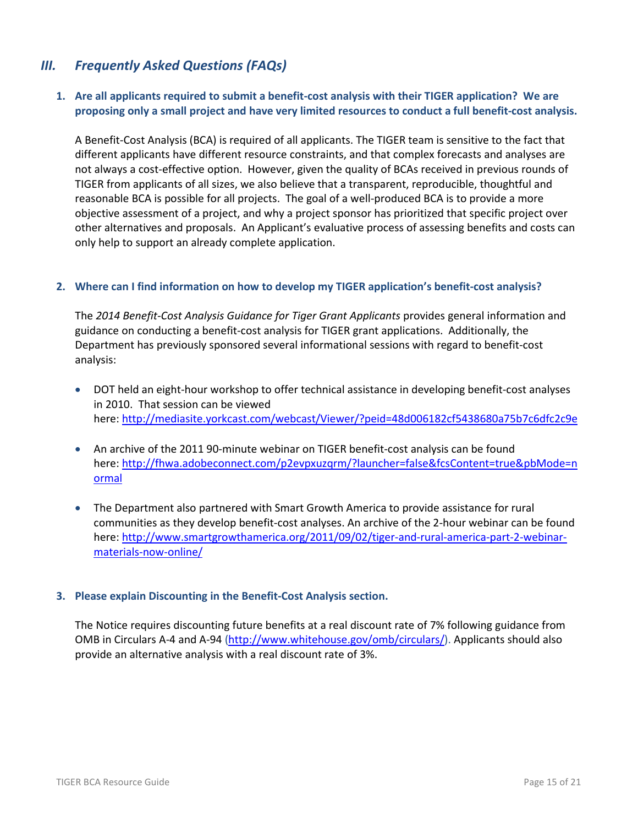# *III. Frequently Asked Questions (FAQs)*

## **1. Are all applicants required to submit a benefit-cost analysis with their TIGER application? We are proposing only a small project and have very limited resources to conduct a full benefit-cost analysis.**

A Benefit-Cost Analysis (BCA) is required of all applicants. The TIGER team is sensitive to the fact that different applicants have different resource constraints, and that complex forecasts and analyses are not always a cost-effective option. However, given the quality of BCAs received in previous rounds of TIGER from applicants of all sizes, we also believe that a transparent, reproducible, thoughtful and reasonable BCA is possible for all projects. The goal of a well-produced BCA is to provide a more objective assessment of a project, and why a project sponsor has prioritized that specific project over other alternatives and proposals. An Applicant's evaluative process of assessing benefits and costs can only help to support an already complete application.

### **2. Where can I find information on how to develop my TIGER application's benefit-cost analysis?**

The *2014 Benefit-Cost Analysis Guidance for Tiger Grant Applicants* provides general information and guidance on conducting a benefit-cost analysis for TIGER grant applications. Additionally, the Department has previously sponsored several informational sessions with regard to benefit-cost analysis:

- DOT held an eight-hour workshop to offer technical assistance in developing benefit-cost analyses in 2010. That session can be viewed here:<http://mediasite.yorkcast.com/webcast/Viewer/?peid=48d006182cf5438680a75b7c6dfc2c9e>
- An archive of the 2011 90-minute webinar on TIGER benefit-cost analysis can be found here: [http://fhwa.adobeconnect.com/p2evpxuzqrm/?launcher=false&fcsContent=true&pbMode=n](http://fhwa.adobeconnect.com/p2evpxuzqrm/?launcher=false&fcsContent=true&pbMode=normal) [ormal](http://fhwa.adobeconnect.com/p2evpxuzqrm/?launcher=false&fcsContent=true&pbMode=normal)
- The Department also partnered with Smart Growth America to provide assistance for rural communities as they develop benefit-cost analyses. An archive of the 2-hour webinar can be found here: [http://www.smartgrowthamerica.org/2011/09/02/tiger-and-rural-america-part-2-webinar](http://www.smartgrowthamerica.org/2011/09/02/tiger-and-rural-america-part-2-webinar-materials-now-online/)[materials-now-online/](http://www.smartgrowthamerica.org/2011/09/02/tiger-and-rural-america-part-2-webinar-materials-now-online/)

#### **3. Please explain Discounting in the Benefit-Cost Analysis section.**

The Notice requires discounting future benefits at a real discount rate of 7% following guidance from OMB in Circulars A-4 and A-94 [\(http://www.whitehouse.gov/omb/circulars/\)](http://www.whitehouse.gov/omb/circulars/). Applicants should also provide an alternative analysis with a real discount rate of 3%.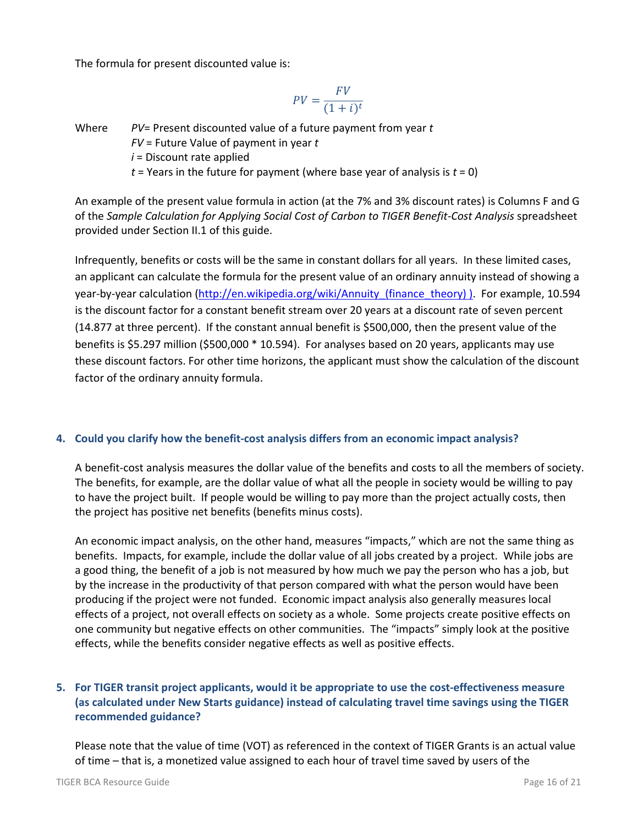The formula for present discounted value is:

$$
PV = \frac{FV}{(1+i)^t}
$$

Where *PV*= Present discounted value of a future payment from year *t FV* = Future Value of payment in year *t i* = Discount rate applied  $t =$  Years in the future for payment (where base year of analysis is  $t = 0$ )

An example of the present value formula in action (at the 7% and 3% discount rates) is Columns F and G of the *Sample Calculation for Applying Social Cost of Carbon to TIGER Benefit-Cost Analysis* spreadsheet provided under Section II.1 of this guide.

Infrequently, benefits or costs will be the same in constant dollars for all years. In these limited cases, an applicant can calculate the formula for the present value of an ordinary annuity instead of showing a year-by-year calculation (http://en.wikipedia.org/wiki/Annuity\_(finance\_theory)). For example, 10.594 is the discount factor for a constant benefit stream over 20 years at a discount rate of seven percent (14.877 at three percent). If the constant annual benefit is \$500,000, then the present value of the benefits is \$5.297 million (\$500,000 \* 10.594). For analyses based on 20 years, applicants may use these discount factors. For other time horizons, the applicant must show the calculation of the discount factor of the ordinary annuity formula.

## **4. Could you clarify how the benefit-cost analysis differs from an economic impact analysis?**

A benefit-cost analysis measures the dollar value of the benefits and costs to all the members of society. The benefits, for example, are the dollar value of what all the people in society would be willing to pay to have the project built. If people would be willing to pay more than the project actually costs, then the project has positive net benefits (benefits minus costs).

An economic impact analysis, on the other hand, measures "impacts," which are not the same thing as benefits. Impacts, for example, include the dollar value of all jobs created by a project. While jobs are a good thing, the benefit of a job is not measured by how much we pay the person who has a job, but by the increase in the productivity of that person compared with what the person would have been producing if the project were not funded. Economic impact analysis also generally measures local effects of a project, not overall effects on society as a whole. Some projects create positive effects on one community but negative effects on other communities. The "impacts" simply look at the positive effects, while the benefits consider negative effects as well as positive effects.

# **5. For TIGER transit project applicants, would it be appropriate to use the cost-effectiveness measure (as calculated under New Starts guidance) instead of calculating travel time savings using the TIGER recommended guidance?**

Please note that the value of time (VOT) as referenced in the context of TIGER Grants is an actual value of time – that is, a monetized value assigned to each hour of travel time saved by users of the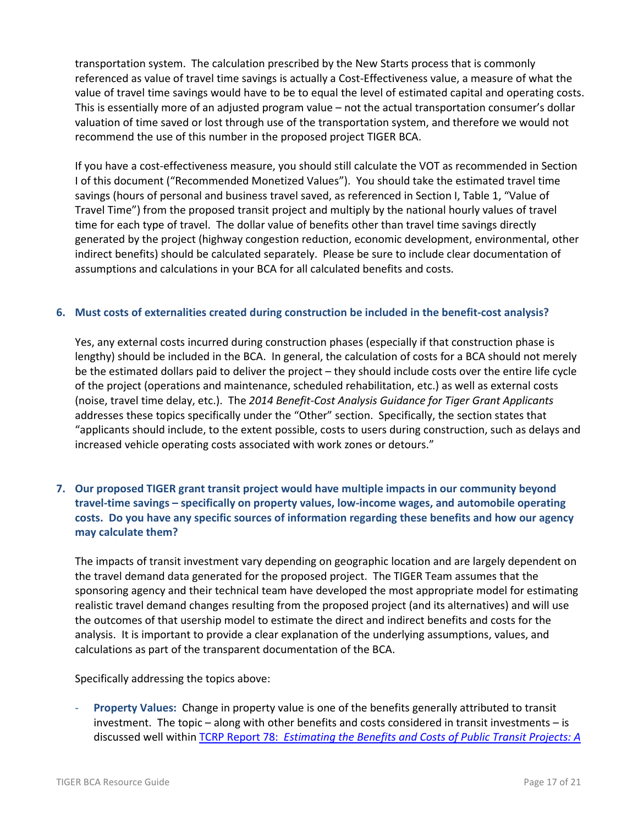transportation system. The calculation prescribed by the New Starts process that is commonly referenced as value of travel time savings is actually a Cost-Effectiveness value, a measure of what the value of travel time savings would have to be to equal the level of estimated capital and operating costs. This is essentially more of an adjusted program value – not the actual transportation consumer's dollar valuation of time saved or lost through use of the transportation system, and therefore we would not recommend the use of this number in the proposed project TIGER BCA.

If you have a cost-effectiveness measure, you should still calculate the VOT as recommended in Section I of this document ("Recommended Monetized Values"). You should take the estimated travel time savings (hours of personal and business travel saved, as referenced in Section I, Table 1, "Value of Travel Time") from the proposed transit project and multiply by the national hourly values of travel time for each type of travel. The dollar value of benefits other than travel time savings directly generated by the project (highway congestion reduction, economic development, environmental, other indirect benefits) should be calculated separately. Please be sure to include clear documentation of assumptions and calculations in your BCA for all calculated benefits and costs.

### **6. Must costs of externalities created during construction be included in the benefit-cost analysis?**

Yes, any external costs incurred during construction phases (especially if that construction phase is lengthy) should be included in the BCA. In general, the calculation of costs for a BCA should not merely be the estimated dollars paid to deliver the project – they should include costs over the entire life cycle of the project (operations and maintenance, scheduled rehabilitation, etc.) as well as external costs (noise, travel time delay, etc.). The *2014 Benefit-Cost Analysis Guidance for Tiger Grant Applicants* addresses these topics specifically under the "Other" section. Specifically, the section states that "applicants should include, to the extent possible, costs to users during construction, such as delays and increased vehicle operating costs associated with work zones or detours."

**7. Our proposed TIGER grant transit project would have multiple impacts in our community beyond travel-time savings – specifically on property values, low-income wages, and automobile operating costs. Do you have any specific sources of information regarding these benefits and how our agency may calculate them?**

The impacts of transit investment vary depending on geographic location and are largely dependent on the travel demand data generated for the proposed project. The TIGER Team assumes that the sponsoring agency and their technical team have developed the most appropriate model for estimating realistic travel demand changes resulting from the proposed project (and its alternatives) and will use the outcomes of that usership model to estimate the direct and indirect benefits and costs for the analysis. It is important to provide a clear explanation of the underlying assumptions, values, and calculations as part of the transparent documentation of the BCA.

Specifically addressing the topics above:

- **Property Values:** Change in property value is one of the benefits generally attributed to transit investment. The topic – along with other benefits and costs considered in transit investments – is discussed well within TCRP Report 78: *[Estimating the Benefits and Costs of Public Transit Projects: A](http://onlinepubs.trb.org/onlinepubs/tcrp/tcrp78/guidebook/tcrp78.pdf)*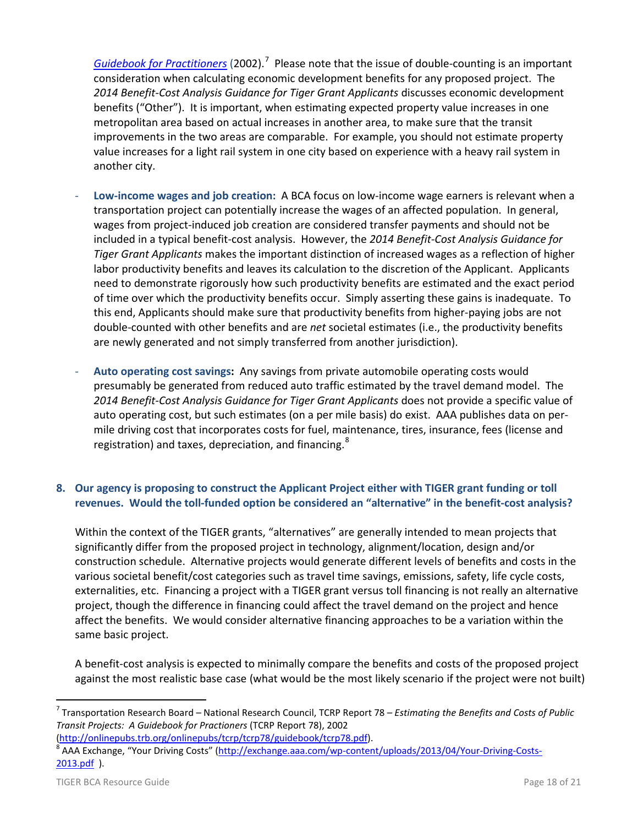[Guidebook for Practitioners](http://onlinepubs.trb.org/onlinepubs/tcrp/tcrp78/guidebook/tcrp78.pdf) (2002).<sup>[7](#page-17-0)</sup> Please note that the issue of double-counting is an important consideration when calculating economic development benefits for any proposed project. The *2014 Benefit-Cost Analysis Guidance for Tiger Grant Applicants* discusses economic development benefits ("Other"). It is important, when estimating expected property value increases in one metropolitan area based on actual increases in another area, to make sure that the transit improvements in the two areas are comparable. For example, you should not estimate property value increases for a light rail system in one city based on experience with a heavy rail system in another city.

- **Low-income wages and job creation:** A BCA focus on low-income wage earners is relevant when a transportation project can potentially increase the wages of an affected population. In general, wages from project-induced job creation are considered transfer payments and should not be included in a typical benefit-cost analysis. However, the *2014 Benefit-Cost Analysis Guidance for Tiger Grant Applicants* makes the important distinction of increased wages as a reflection of higher labor productivity benefits and leaves its calculation to the discretion of the Applicant. Applicants need to demonstrate rigorously how such productivity benefits are estimated and the exact period of time over which the productivity benefits occur. Simply asserting these gains is inadequate. To this end, Applicants should make sure that productivity benefits from higher-paying jobs are not double-counted with other benefits and are *net* societal estimates (i.e., the productivity benefits are newly generated and not simply transferred from another jurisdiction).
- **Auto operating cost savings:** Any savings from private automobile operating costs would presumably be generated from reduced auto traffic estimated by the travel demand model. The *2014 Benefit-Cost Analysis Guidance for Tiger Grant Applicants* does not provide a specific value of auto operating cost, but such estimates (on a per mile basis) do exist. AAA publishes data on permile driving cost that incorporates costs for fuel, maintenance, tires, insurance, fees (license and registration) and taxes, depreciation, and financing.<sup>[8](#page-17-1)</sup>

## **8. Our agency is proposing to construct the Applicant Project either with TIGER grant funding or toll revenues. Would the toll-funded option be considered an "alternative" in the benefit-cost analysis?**

Within the context of the TIGER grants, "alternatives" are generally intended to mean projects that significantly differ from the proposed project in technology, alignment/location, design and/or construction schedule. Alternative projects would generate different levels of benefits and costs in the various societal benefit/cost categories such as travel time savings, emissions, safety, life cycle costs, externalities, etc. Financing a project with a TIGER grant versus toll financing is not really an alternative project, though the difference in financing could affect the travel demand on the project and hence affect the benefits. We would consider alternative financing approaches to be a variation within the same basic project.

A benefit-cost analysis is expected to minimally compare the benefits and costs of the proposed project against the most realistic base case (what would be the most likely scenario if the project were not built)

<span id="page-17-0"></span> <sup>7</sup> Transportation Research Board – National Research Council, TCRP Report 78 – *Estimating the Benefits and Costs of Public Transit Projects: A Guidebook for Practioners* (TCRP Report 78), 2002

<span id="page-17-1"></span>[<sup>\(</sup>http://onlinepubs.trb.org/onlinepubs/tcrp/tcrp78/guidebook/tcrp78.pdf\)](http://onlinepubs.trb.org/onlinepubs/tcrp/tcrp78/guidebook/tcrp78.pdf).<br><sup>8</sup> AAA Exchange, "Your Driving Costs" [\(http://exchange.aaa.com/wp-content/uploads/2013/04/Your-Driving-Costs-](http://exchange.aaa.com/wp-content/uploads/2013/04/Your-Driving-Costs-2013.pdf)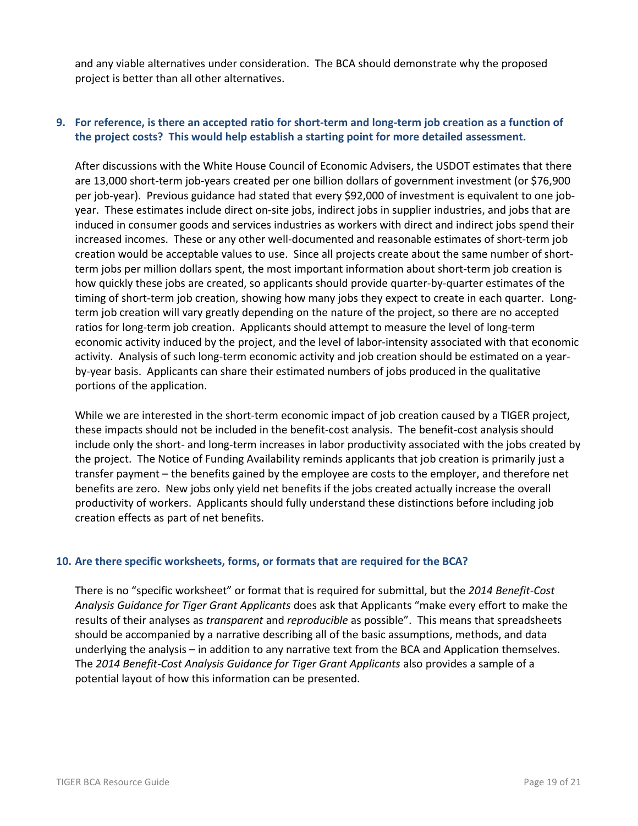and any viable alternatives under consideration. The BCA should demonstrate why the proposed project is better than all other alternatives.

## **9. For reference, is there an accepted ratio for short-term and long-term job creation as a function of the project costs? This would help establish a starting point for more detailed assessment.**

After discussions with the White House Council of Economic Advisers, the USDOT estimates that there are 13,000 short-term job-years created per one billion dollars of government investment (or \$76,900 per job-year). Previous guidance had stated that every \$92,000 of investment is equivalent to one jobyear. These estimates include direct on-site jobs, indirect jobs in supplier industries, and jobs that are induced in consumer goods and services industries as workers with direct and indirect jobs spend their increased incomes. These or any other well-documented and reasonable estimates of short-term job creation would be acceptable values to use. Since all projects create about the same number of shortterm jobs per million dollars spent, the most important information about short-term job creation is how quickly these jobs are created, so applicants should provide quarter-by-quarter estimates of the timing of short-term job creation, showing how many jobs they expect to create in each quarter. Longterm job creation will vary greatly depending on the nature of the project, so there are no accepted ratios for long-term job creation. Applicants should attempt to measure the level of long-term economic activity induced by the project, and the level of labor-intensity associated with that economic activity. Analysis of such long-term economic activity and job creation should be estimated on a yearby-year basis. Applicants can share their estimated numbers of jobs produced in the qualitative portions of the application.

While we are interested in the short-term economic impact of job creation caused by a TIGER project, these impacts should not be included in the benefit-cost analysis. The benefit-cost analysis should include only the short- and long-term increases in labor productivity associated with the jobs created by the project. The Notice of Funding Availability reminds applicants that job creation is primarily just a transfer payment – the benefits gained by the employee are costs to the employer, and therefore net benefits are zero. New jobs only yield net benefits if the jobs created actually increase the overall productivity of workers. Applicants should fully understand these distinctions before including job creation effects as part of net benefits.

#### **10. Are there specific worksheets, forms, or formats that are required for the BCA?**

There is no "specific worksheet" or format that is required for submittal, but the *2014 Benefit-Cost Analysis Guidance for Tiger Grant Applicants* does ask that Applicants "make every effort to make the results of their analyses as *transparent* and *reproducible* as possible". This means that spreadsheets should be accompanied by a narrative describing all of the basic assumptions, methods, and data underlying the analysis – in addition to any narrative text from the BCA and Application themselves. The *2014 Benefit-Cost Analysis Guidance for Tiger Grant Applicants* also provides a sample of a potential layout of how this information can be presented.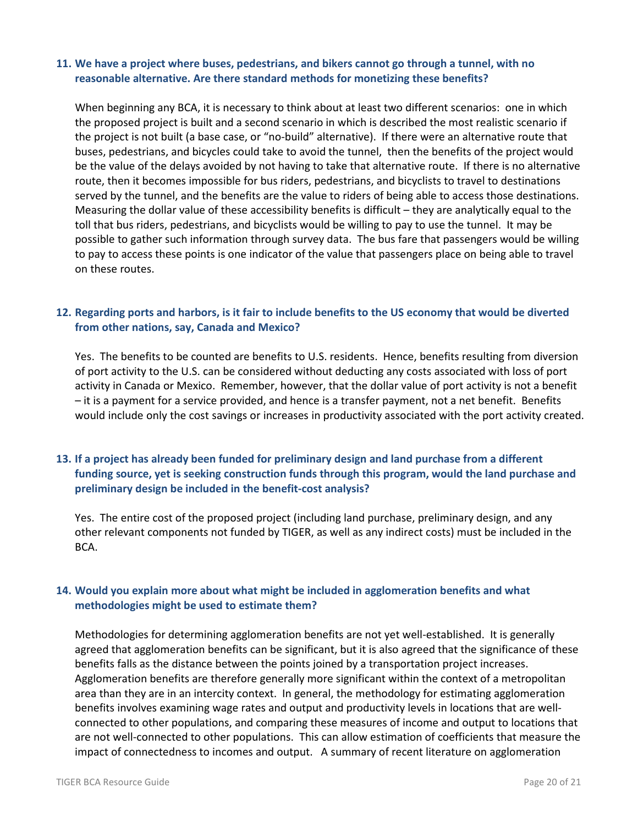#### **11. We have a project where buses, pedestrians, and bikers cannot go through a tunnel, with no reasonable alternative. Are there standard methods for monetizing these benefits?**

When beginning any BCA, it is necessary to think about at least two different scenarios: one in which the proposed project is built and a second scenario in which is described the most realistic scenario if the project is not built (a base case, or "no-build" alternative). If there were an alternative route that buses, pedestrians, and bicycles could take to avoid the tunnel, then the benefits of the project would be the value of the delays avoided by not having to take that alternative route. If there is no alternative route, then it becomes impossible for bus riders, pedestrians, and bicyclists to travel to destinations served by the tunnel, and the benefits are the value to riders of being able to access those destinations. Measuring the dollar value of these accessibility benefits is difficult – they are analytically equal to the toll that bus riders, pedestrians, and bicyclists would be willing to pay to use the tunnel. It may be possible to gather such information through survey data. The bus fare that passengers would be willing to pay to access these points is one indicator of the value that passengers place on being able to travel on these routes.

## **12. Regarding ports and harbors, is it fair to include benefits to the US economy that would be diverted from other nations, say, Canada and Mexico?**

Yes. The benefits to be counted are benefits to U.S. residents. Hence, benefits resulting from diversion of port activity to the U.S. can be considered without deducting any costs associated with loss of port activity in Canada or Mexico. Remember, however, that the dollar value of port activity is not a benefit – it is a payment for a service provided, and hence is a transfer payment, not a net benefit. Benefits would include only the cost savings or increases in productivity associated with the port activity created.

## **13. If a project has already been funded for preliminary design and land purchase from a different funding source, yet is seeking construction funds through this program, would the land purchase and preliminary design be included in the benefit-cost analysis?**

Yes. The entire cost of the proposed project (including land purchase, preliminary design, and any other relevant components not funded by TIGER, as well as any indirect costs) must be included in the BCA.

## **14. Would you explain more about what might be included in agglomeration benefits and what methodologies might be used to estimate them?**

Methodologies for determining agglomeration benefits are not yet well-established. It is generally agreed that agglomeration benefits can be significant, but it is also agreed that the significance of these benefits falls as the distance between the points joined by a transportation project increases. Agglomeration benefits are therefore generally more significant within the context of a metropolitan area than they are in an intercity context. In general, the methodology for estimating agglomeration benefits involves examining wage rates and output and productivity levels in locations that are wellconnected to other populations, and comparing these measures of income and output to locations that are not well-connected to other populations. This can allow estimation of coefficients that measure the impact of connectedness to incomes and output. A summary of recent literature on agglomeration